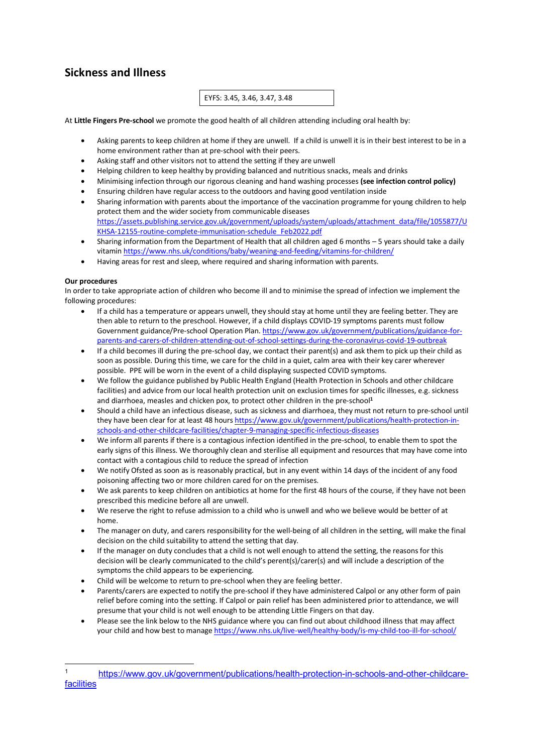# **Sickness and Illness**

# EYFS: 3.45, 3.46, 3.47, 3.48

At **Little Fingers Pre-school** we promote the good health of all children attending including oral health by:

- Asking parents to keep children at home if they are unwell. If a child is unwell it is in their best interest to be in a home environment rather than at pre-school with their peers.
- Asking staff and other visitors not to attend the setting if they are unwell
- Helping children to keep healthy by providing balanced and nutritious snacks, meals and drinks
- Minimising infection through our rigorous cleaning and hand washing processes **(see infection control policy)**
- Ensuring children have regular access to the outdoors and having good ventilation inside
- Sharing information with parents about the importance of the vaccination programme for young children to help protect them and the wider society from communicable diseases https://assets.publishing.service.gov.uk/government/uploads/system/uploads/attachment\_data/file/1055877/U KHSA-12155-routine-complete-immunisation-schedule\_Feb2022.pdf
- Sharing information from the Department of Health that all children aged 6 months 5 years should take a daily vitamin https://www.nhs.uk/conditions/baby/weaning-and-feeding/vitamins-for-children/
- Having areas for rest and sleep, where required and sharing information with parents.

#### **Our procedures**

In order to take appropriate action of children who become ill and to minimise the spread of infection we implement the following procedures:

- If a child has a temperature or appears unwell, they should stay at home until they are feeling better. They are then able to return to the preschool. However, if a child displays COVID-19 symptoms parents must follow Government guidance/Pre-school Operation Plan. https://www.gov.uk/government/publications/guidance-forparents-and-carers-of-children-attending-out-of-school-settings-during-the-coronavirus-covid-19-outbreak
- If a child becomes ill during the pre-school day, we contact their parent(s) and ask them to pick up their child as soon as possible. During this time, we care for the child in a quiet, calm area with their key carer wherever possible. PPE will be worn in the event of a child displaying suspected COVID symptoms.
- We follow the guidance published by Public Health England (Health Protection in Schools and other childcare facilities) and advice from our local health protection unit on exclusion times for specific illnesses, e.g. sickness and diarrhoea, measles and chicken pox, to protect other children in the pre-school**<sup>1</sup>**
- Should a child have an infectious disease, such as sickness and diarrhoea, they must not return to pre-school until they have been clear for at least 48 hours https://www.gov.uk/government/publications/health-protection-inschools-and-other-childcare-facilities/chapter-9-managing-specific-infectious-diseases
- We inform all parents if there is a contagious infection identified in the pre-school, to enable them to spot the early signs of this illness. We thoroughly clean and sterilise all equipment and resources that may have come into contact with a contagious child to reduce the spread of infection
- We notify Ofsted as soon as is reasonably practical, but in any event within 14 days of the incident of any food poisoning affecting two or more children cared for on the premises.
- We ask parents to keep children on antibiotics at home for the first 48 hours of the course, if they have not been prescribed this medicine before all are unwell.
- We reserve the right to refuse admission to a child who is unwell and who we believe would be better of at home.
- The manager on duty, and carers responsibility for the well-being of all children in the setting, will make the final decision on the child suitability to attend the setting that day.
- If the manager on duty concludes that a child is not well enough to attend the setting, the reasons for this decision will be clearly communicated to the child's perent(s)/carer(s) and will include a description of the symptoms the child appears to be experiencing.
- Child will be welcome to return to pre-school when they are feeling better.
- Parents/carers are expected to notify the pre-school if they have administered Calpol or any other form of pain relief before coming into the setting. If Calpol or pain relief has been administered prior to attendance, we will presume that your child is not well enough to be attending Little Fingers on that day.
- Please see the link below to the NHS guidance where you can find out about childhood illness that may affect your child and how best to manage https://www.nhs.uk/live-well/healthy-body/is-my-child-too-ill-for-school/

 <sup>1</sup> https://www.gov.uk/government/publications/health-protection-in-schools-and-other-childcare**facilities**